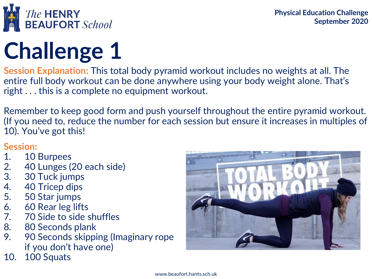

**Session Explanation:** This total body pyramid workout includes no weights at all. The entire full body workout can be done anywhere using your body weight alone. That's right . . . this is a complete no equipment workout.

Remember to keep good form and push yourself throughout the entire pyramid workout. (If you need to, reduce the number for each session but ensure it increases in multiples of 10). You've got this!

### **Session:**

- 1. 10 Burpees
- 2. 40 Lunges (20 each side)<br>3. 30 Tuck jumps
- 3. 30 Tuck jumps<br>4. 40 Tricep dips
- 4. 40 Tricep dips<br>5. 50 Star jumps
- 50 Star jumps
- 6. 60 Rear leg lifts<br>7. 70 Side to side s
- 70 Side to side shuffles
- 8. 80 Seconds plank
- 9. 90 Seconds skipping (Imaginary rope if you don't have one)
- 10. 100 Squats

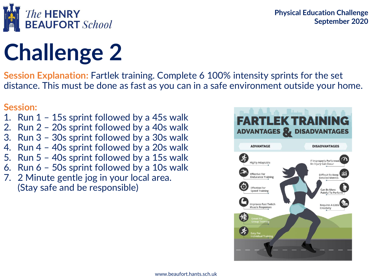

**Session Explanation:** Fartlek training. Complete 6 100% intensity sprints for the set distance. This must be done as fast as you can in a safe environment outside your home.

### **Session:**

- 1. Run 1 15s sprint followed by a 45s walk
- 2. Run 2 20s sprint followed by a 40s walk
- 3. Run 3 30s sprint followed by a 30s walk
- 4. Run 4 40s sprint followed by a 20s walk
- 5. Run 5 40s sprint followed by a 15s walk
- 6. Run 6 50s sprint followed by a 10s walk
- 7. 2 Minute gentle jog in your local area. (Stay safe and be responsible)

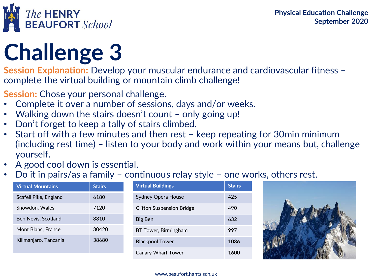



**Session Explanation:** Develop your muscular endurance and cardiovascular fitness complete the virtual building or mountain climb challenge!

**Session:** Chose your personal challenge.

- Complete it over a number of sessions, days and/or weeks.
- Walking down the stairs doesn't count only going up!
- Don't forget to keep a tally of stairs climbed.
- Start off with a few minutes and then rest keep repeating for 30min minimum (including rest time) – listen to your body and work within your means but, challenge yourself.
- A good cool down is essential.
- Do it in pairs/as a family continuous relay style one works, others rest.

| <b>Virtual Mountains</b> | <b>Stairs</b> | <b>Virtual Buildings</b>         | <b>Stairs</b> |
|--------------------------|---------------|----------------------------------|---------------|
| Scafell Pike, England    | 6180          | Sydney Opera House               | 425           |
| Snowdon, Wales           | 7120          | <b>Clifton Suspension Bridge</b> | 490           |
| Ben Nevis, Scotland      | 8810          | Big Ben                          | 632           |
| Mont Blanc, France       | 30420         | BT Tower, Birmingham             | 997           |
| Kilimanjaro, Tanzania    | 38680         | <b>Blackpool Tower</b>           | 1036          |
|                          |               | <b>Canary Wharf Tower</b>        | 1600          |



#### www.beaufort.hants.sch.uk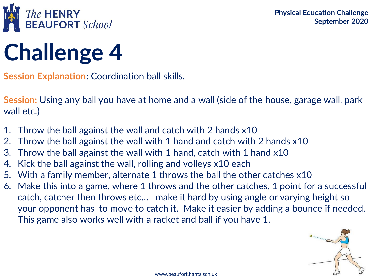

**Session Explanation**: Coordination ball skills.

**Session:** Using any ball you have at home and a wall (side of the house, garage wall, park wall etc.)

- 1. Throw the ball against the wall and catch with 2 hands x10
- 2. Throw the ball against the wall with 1 hand and catch with 2 hands x10
- 3. Throw the ball against the wall with 1 hand, catch with 1 hand x10
- 4. Kick the ball against the wall, rolling and volleys x10 each
- 5. With a family member, alternate 1 throws the ball the other catches x10
- 6. Make this into a game, where 1 throws and the other catches, 1 point for a successful catch, catcher then throws etc… make it hard by using angle or varying height so your opponent has to move to catch it. Make it easier by adding a bounce if needed. This game also works well with a racket and ball if you have 1.